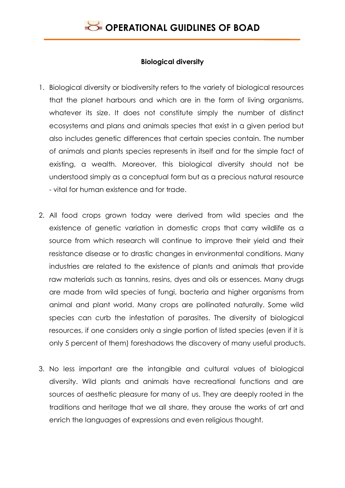### **Biological diversity**

- 1. Biological diversity or biodiversity refers to the variety of biological resources that the planet harbours and which are in the form of living organisms, whatever its size. It does not constitute simply the number of distinct ecosystems and plans and animals species that exist in a given period but also includes genetic differences that certain species contain. The number of animals and plants species represents in itself and for the simple fact of existing, a wealth. Moreover, this biological diversity should not be understood simply as a conceptual form but as a precious natural resource - vital for human existence and for trade.
- 2. All food crops grown today were derived from wild species and the existence of genetic variation in domestic crops that carry wildlife as a source from which research will continue to improve their yield and their resistance disease or to drastic changes in environmental conditions. Many industries are related to the existence of plants and animals that provide raw materials such as tannins, resins, dyes and oils or essences. Many drugs are made from wild species of fungi, bacteria and higher organisms from animal and plant world. Many crops are pollinated naturally. Some wild species can curb the infestation of parasites. The diversity of biological resources, if one considers only a single portion of listed species (even if it is only 5 percent of them) foreshadows the discovery of many useful products.
- 3. No less important are the intangible and cultural values of biological diversity. Wild plants and animals have recreational functions and are sources of aesthetic pleasure for many of us. They are deeply rooted in the traditions and heritage that we all share, they arouse the works of art and enrich the languages of expressions and even religious thought.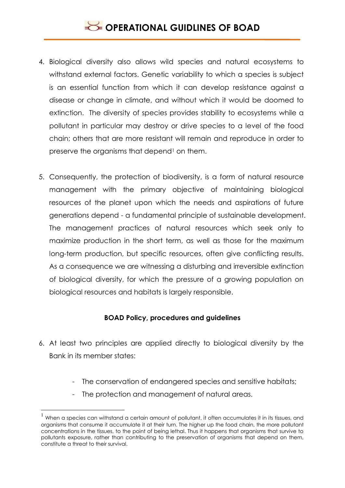# **SECTIONAL GUIDLINES OF BOAD**

- 4. Biological diversity also allows wild species and natural ecosystems to withstand external factors. Genetic variability to which a species is subject is an essential function from which it can develop resistance against a disease or change in climate, and without which it would be doomed to extinction. The diversity of species provides stability to ecosystems while a pollutant in particular may destroy or drive species to a level of the food chain; others that are more resistant will remain and reproduce in order to preserve the organisms that depend<sup>1</sup> on them.
- 5. Consequently, the protection of biodiversity, is a form of natural resource management with the primary objective of maintaining biological resources of the planet upon which the needs and aspirations of future generations depend - a fundamental principle of sustainable development. The management practices of natural resources which seek only to maximize production in the short term, as well as those for the maximum long-term production, but specific resources, often give conflicting results. As a consequence we are witnessing a disturbing and irreversible extinction of biological diversity, for which the pressure of a growing population on biological resources and habitats is largely responsible.

### **BOAD Policy, procedures and guidelines**

- 6. At least two principles are applied directly to biological diversity by the Bank in its member states:
	- The conservation of endangered species and sensitive habitats;
	- The protection and management of natural areas.

<u>.</u>

 $^1$  When a species can withstand a certain amount of pollutant, it often accumulates it in its tissues, and organisms that consume it accumulate it at their turn. The higher up the food chain, the more pollutant concentrations in the tissues, to the point of being lethal. Thus it happens that organisms that survive to pollutants exposure, rather than contributing to the preservation of organisms that depend on them, constitute a threat to their survival.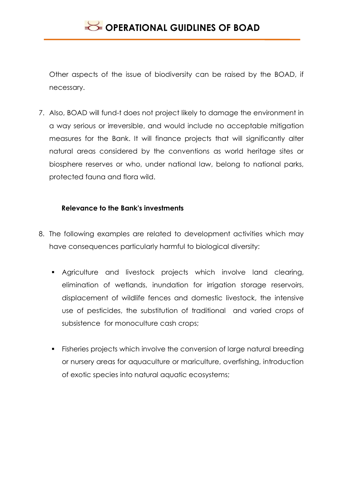Other aspects of the issue of biodiversity can be raised by the BOAD, if necessary.

7. Also, BOAD will fund-t does not project likely to damage the environment in a way serious or irreversible, and would include no acceptable mitigation measures for the Bank. It will finance projects that will significantly alter natural areas considered by the conventions as world heritage sites or biosphere reserves or who, under national law, belong to national parks, protected fauna and flora wild.

### **Relevance to the Bank's investments**

- 8. The following examples are related to development activities which may have consequences particularly harmful to biological diversity:
	- Agriculture and livestock projects which involve land clearing, elimination of wetlands, inundation for irrigation storage reservoirs, displacement of wildlife fences and domestic livestock, the intensive use of pesticides, the substitution of traditional and varied crops of subsistence for monoculture cash crops;
	- **Fisheries projects which involve the conversion of large natural breeding** or nursery areas for aquaculture or mariculture, overfishing, introduction of exotic species into natural aquatic ecosystems;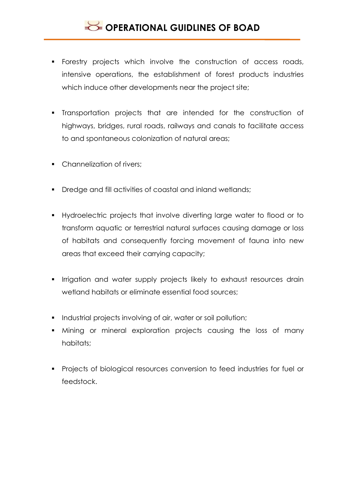- Forestry projects which involve the construction of access roads, intensive operations, the establishment of forest products industries which induce other developments near the project site;
- Transportation projects that are intended for the construction of highways, bridges, rural roads, railways and canals to facilitate access to and spontaneous colonization of natural areas;
- Channelization of rivers:
- **•** Dredge and fill activities of coastal and inland wetlands:
- Hydroelectric projects that involve diverting large water to flood or to transform aquatic or terrestrial natural surfaces causing damage or loss of habitats and consequently forcing movement of fauna into new areas that exceed their carrying capacity;
- **I** Irrigation and water supply projects likely to exhaust resources drain wetland habitats or eliminate essential food sources;
- **Industrial projects involving of air, water or soil pollution;**
- Mining or mineral exploration projects causing the loss of many habitats;
- **Projects of biological resources conversion to feed industries for fuel or** feedstock.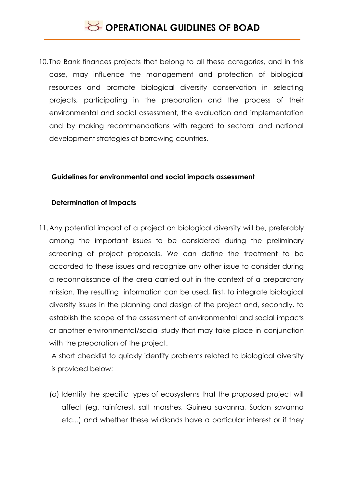10. The Bank finances projects that belong to all these categories, and in this case, may influence the management and protection of biological resources and promote biological diversity conservation in selecting projects, participating in the preparation and the process of their environmental and social assessment, the evaluation and implementation and by making recommendations with regard to sectoral and national development strategies of borrowing countries.

#### **Guidelines for environmental and social impacts assessment**

#### **Determination of impacts**

11.Any potential impact of a project on biological diversity will be, preferably among the important issues to be considered during the preliminary screening of project proposals. We can define the treatment to be accorded to these issues and recognize any other issue to consider during a reconnaissance of the area carried out in the context of a preparatory mission. The resulting information can be used, first, to integrate biological diversity issues in the planning and design of the project and, secondly, to establish the scope of the assessment of environmental and social impacts or another environmental/social study that may take place in conjunction with the preparation of the project.

A short checklist to quickly identify problems related to biological diversity is provided below:

(a) Identify the specific types of ecosystems that the proposed project will affect (eg. rainforest, salt marshes, Guinea savanna, Sudan savanna etc...) and whether these wildlands have a particular interest or if they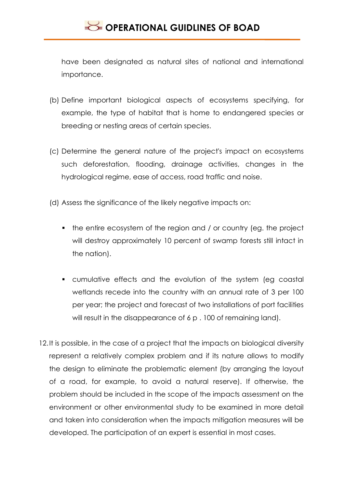have been designated as natural sites of national and international importance.

- (b) Define important biological aspects of ecosystems specifying, for example, the type of habitat that is home to endangered species or breeding or nesting areas of certain species.
- (c) Determine the general nature of the project's impact on ecosystems such deforestation, flooding, drainage activities, changes in the hydrological regime, ease of access, road traffic and noise.
- (d) Assess the significance of the likely negative impacts on:
	- the entire ecosystem of the region and / or country (eg. the project will destroy approximately 10 percent of swamp forests still intact in the nation).
	- cumulative effects and the evolution of the system (eg coastal wetlands recede into the country with an annual rate of 3 per 100 per year; the project and forecast of two installations of port facilities will result in the disappearance of 6 p. 100 of remaining land).
- 12.It is possible, in the case of a project that the impacts on biological diversity represent a relatively complex problem and if its nature allows to modify the design to eliminate the problematic element (by arranging the layout of a road, for example, to avoid a natural reserve). If otherwise, the problem should be included in the scope of the impacts assessment on the environment or other environmental study to be examined in more detail and taken into consideration when the impacts mitigation measures will be developed. The participation of an expert is essential in most cases.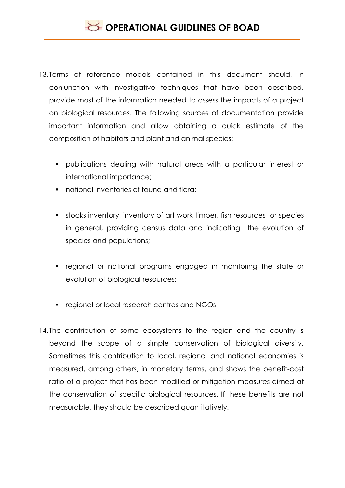- 13. Terms of reference models contained in this document should, in conjunction with investigative techniques that have been described, provide most of the information needed to assess the impacts of a project on biological resources. The following sources of documentation provide important information and allow obtaining a quick estimate of the composition of habitats and plant and animal species:
	- publications dealing with natural areas with a particular interest or international importance;
	- national inventories of fauna and flora;
	- stocks inventory, inventory of art work timber, fish resources or species in general, providing census data and indicating the evolution of species and populations;
	- regional or national programs engaged in monitoring the state or evolution of biological resources;
	- **regional or local research centres and NGOs**
- 14. The contribution of some ecosystems to the region and the country is beyond the scope of a simple conservation of biological diversity. Sometimes this contribution to local, regional and national economies is measured, among others, in monetary terms, and shows the benefit-cost ratio of a project that has been modified or mitigation measures aimed at the conservation of specific biological resources. If these benefits are not measurable, they should be described quantitatively.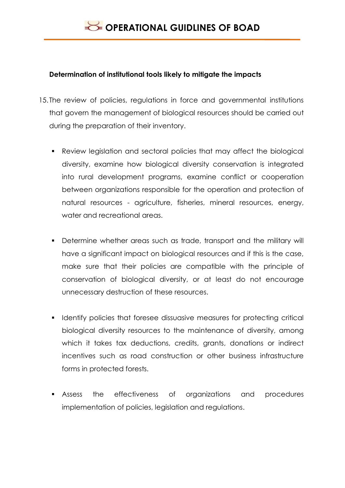### **Determination of institutional tools likely to mitigate the impacts**

- 15. The review of policies, regulations in force and governmental institutions that govern the management of biological resources should be carried out during the preparation of their inventory.
	- Review legislation and sectoral policies that may affect the biological diversity, examine how biological diversity conservation is integrated into rural development programs, examine conflict or cooperation between organizations responsible for the operation and protection of natural resources - agriculture, fisheries, mineral resources, energy, water and recreational areas.
	- **•** Determine whether areas such as trade, transport and the military will have a significant impact on biological resources and if this is the case, make sure that their policies are compatible with the principle of conservation of biological diversity, or at least do not encourage unnecessary destruction of these resources.
	- Identify policies that foresee dissuasive measures for protecting critical biological diversity resources to the maintenance of diversity, among which it takes tax deductions, credits, grants, donations or indirect incentives such as road construction or other business infrastructure forms in protected forests.
	- Assess the effectiveness of organizations and procedures implementation of policies, legislation and regulations.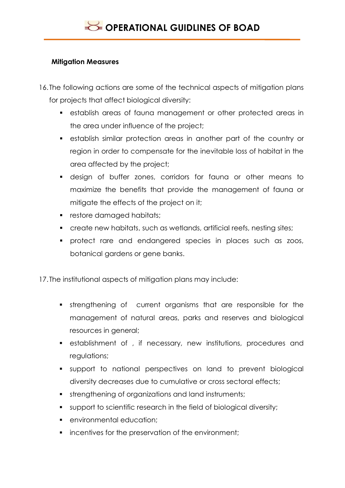### **Mitigation Measures**

- 16. The following actions are some of the technical aspects of mitigation plans for projects that affect biological diversity:
	- establish areas of fauna management or other protected areas in the area under influence of the project;
	- establish similar protection areas in another part of the country or region in order to compensate for the inevitable loss of habitat in the area affected by the project;
	- design of buffer zones, corridors for fauna or other means to maximize the benefits that provide the management of fauna or mitigate the effects of the project on it;
	- **Fall restore damaged habitats;**
	- create new habitats, such as wetlands, artificial reefs, nesting sites;
	- **•** protect rare and endangered species in places such as zoos, botanical gardens or gene banks.

17. The institutional aspects of mitigation plans may include:

- strengthening of current organisms that are responsible for the management of natural areas, parks and reserves and biological resources in general;
- establishment of , if necessary, new institutions, procedures and regulations;
- support to national perspectives on land to prevent biological diversity decreases due to cumulative or cross sectoral effects;
- strengthening of organizations and land instruments;
- support to scientific research in the field of biological diversity;
- **EXECUTE:** environmental education;
- **i** incentives for the preservation of the environment;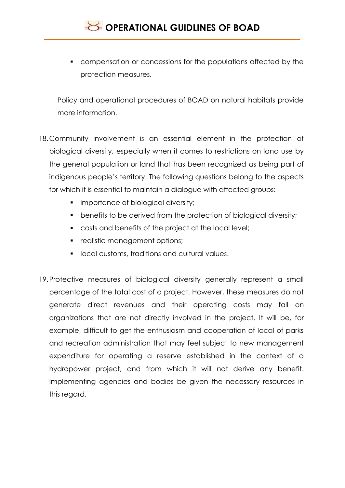

 compensation or concessions for the populations affected by the protection measures.

Policy and operational procedures of BOAD on natural habitats provide more information.

- 18.Community involvement is an essential element in the protection of biological diversity, especially when it comes to restrictions on land use by the general population or land that has been recognized as being part of indigenous people's territory. The following questions belong to the aspects for which it is essential to maintain a dialogue with affected groups:
	- **importance of biological diversity;**
	- **•** benefits to be derived from the protection of biological diversity;
	- costs and benefits of the project at the local level;
	- **•** realistic management options;
	- **IDCAL customs, traditions and cultural values.**
- 19.Protective measures of biological diversity generally represent a small percentage of the total cost of a project. However, these measures do not generate direct revenues and their operating costs may fall on organizations that are not directly involved in the project. It will be, for example, difficult to get the enthusiasm and cooperation of local of parks and recreation administration that may feel subject to new management expenditure for operating a reserve established in the context of a hydropower project, and from which it will not derive any benefit. Implementing agencies and bodies be given the necessary resources in this regard.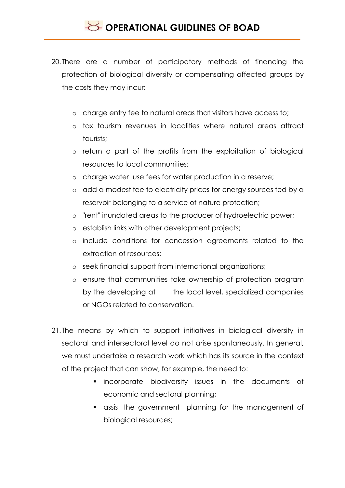- 20. There are a number of participatory methods of financing the protection of biological diversity or compensating affected groups by the costs they may incur:
	- o charge entry fee to natural areas that visitors have access to;
	- o tax tourism revenues in localities where natural areas attract tourists;
	- o return a part of the profits from the exploitation of biological resources to local communities;
	- o charge water use fees for water production in a reserve;
	- o add a modest fee to electricity prices for energy sources fed by a reservoir belonging to a service of nature protection;
	- o "rent" inundated areas to the producer of hydroelectric power;
	- o establish links with other development projects;
	- o include conditions for concession agreements related to the extraction of resources;
	- o seek financial support from international organizations;
	- o ensure that communities take ownership of protection program by the developing at the local level, specialized companies or NGOs related to conservation.
- 21. The means by which to support initiatives in biological diversity in sectoral and intersectoral level do not arise spontaneously. In general, we must undertake a research work which has its source in the context of the project that can show, for example, the need to:
	- **Exercise** incorporate biodiversity issues in the documents of economic and sectoral planning;
	- assist the government planning for the management of biological resources;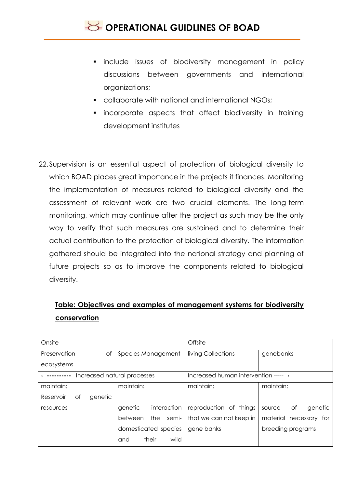- **Include issues of biodiversity management in policy** discussions between governments and international organizations;
- **Collaborate with national and international NGOs;**
- **EXEDENT** incorporate aspects that affect biodiversity in training development institutes
- 22.Supervision is an essential aspect of protection of biological diversity to which BOAD places great importance in the projects it finances. Monitoring the implementation of measures related to biological diversity and the assessment of relevant work are two crucial elements. The long-term monitoring, which may continue after the project as such may be the only way to verify that such measures are sustained and to determine their actual contribution to the protection of biological diversity. The information gathered should be integrated into the national strategy and planning of future projects so as to improve the components related to biological diversity.

## **Table: Objectives and examples of management systems for biodiversity conservation**

| Onsite                      |                         | Offsite                                        |                         |
|-----------------------------|-------------------------|------------------------------------------------|-------------------------|
| Preservation<br>Οf          | Species Management      | living Collections                             | genebanks               |
| ecosystems                  |                         |                                                |                         |
| Increased natural processes |                         | Increased human intervention $--- \rightarrow$ |                         |
| maintain:                   | maintain:               | maintain:                                      | maintain:               |
| genetic<br>Reservoir<br>Οf  |                         |                                                |                         |
| resources                   | genetic<br>interaction  | reproduction of things                         | genetic<br>Оf<br>source |
|                             | semi-<br>the<br>between | that we can not keep in                        | material necessary for  |
|                             | domesticated species    | gene banks                                     | breeding programs       |
|                             | their<br>wild<br>and    |                                                |                         |